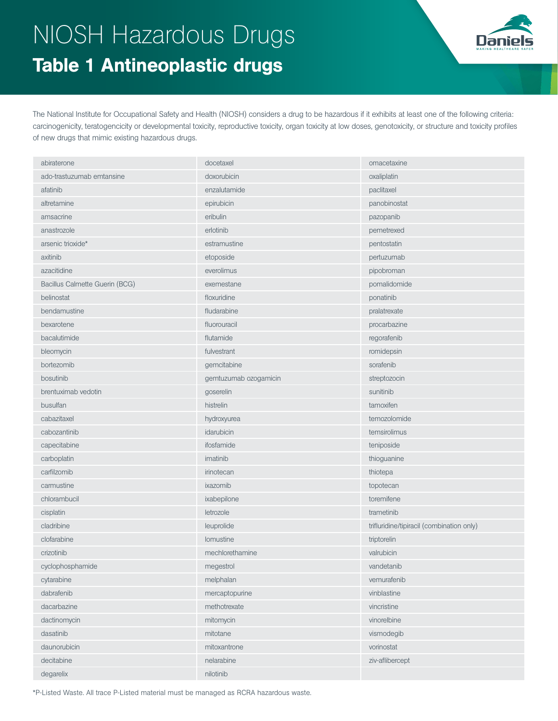## NIOSH Hazardous Drugs Table 1 Antineoplastic drugs



The National Institute for Occupational Safety and Health (NIOSH) considers a drug to be hazardous if it exhibits at least one of the following criteria: carcinogenicity, teratogencicity or developmental toxicity, reproductive toxicity, organ toxicity at low doses, genotoxicity, or structure and toxicity profiles of new drugs that mimic existing hazardous drugs.

| abiraterone                    | docetaxel             | omacetaxine                               |
|--------------------------------|-----------------------|-------------------------------------------|
| ado-trastuzumab emtansine      | doxorubicin           | oxaliplatin                               |
| afatinib                       | enzalutamide          | paclitaxel                                |
| altretamine                    | epirubicin            | panobinostat                              |
| amsacrine                      | eribulin              | pazopanib                                 |
| anastrozole                    | erlotinib             | pemetrexed                                |
| arsenic trioxide*              | estramustine          | pentostatin                               |
| axitinib                       | etoposide             | pertuzumab                                |
| azacitidine                    | everolimus            | pipobroman                                |
| Bacillus Calmette Guerin (BCG) | exemestane            | pomalidomide                              |
| belinostat                     | floxuridine           | ponatinib                                 |
| bendamustine                   | fludarabine           | pralatrexate                              |
| bexarotene                     | fluorouracil          | procarbazine                              |
| bacalutimide                   | flutamide             | regorafenib                               |
| bleomycin                      | fulvestrant           | romidepsin                                |
| bortezomib                     | gemcitabine           | sorafenib                                 |
| bosutinib                      | gemtuzumab ozogamicin | streptozocin                              |
| brentuximab vedotin            | goserelin             | sunitinib                                 |
| busulfan                       | histrelin             | tamoxifen                                 |
| cabazitaxel                    | hydroxyurea           | temozolomide                              |
| cabozantinib                   | idarubicin            | temsirolimus                              |
| capecitabine                   | ifosfamide            | teniposide                                |
| carboplatin                    | imatinib              | thioguanine                               |
| carfilzomib                    | irinotecan            | thiotepa                                  |
| carmustine                     | ixazomib              | topotecan                                 |
| chlorambucil                   | ixabepilone           | toremifene                                |
| cisplatin                      | letrozole             | trametinib                                |
| cladribine                     | leuprolide            | trifluridine/tipiracil (combination only) |
| clofarabine                    | lomustine             | triptorelin                               |
| crizotinib                     | mechlorethamine       | valrubicin                                |
| cyclophosphamide               | megestrol             | vandetanib                                |
| cytarabine                     | melphalan             | vemurafenib                               |
| dabrafenib                     | mercaptopurine        | vinblastine                               |
| dacarbazine                    | methotrexate          | vincristine                               |
| dactinomycin                   | mitomycin             | vinorelbine                               |
| dasatinib                      | mitotane              | vismodegib                                |
| daunorubicin                   | mitoxantrone          | vorinostat                                |
| decitabine                     | nelarabine            | ziv-aflibercept                           |
| degarelix                      | nilotinib             |                                           |

\*P-Listed Waste. All trace P-Listed material must be managed as RCRA hazardous waste.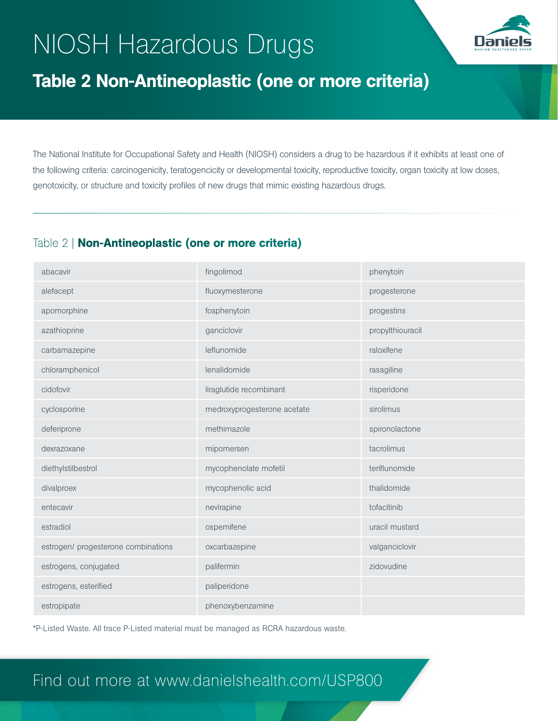# NIOSH Hazardous Drugs



### Table 2 Non-Antineoplastic (one or more criteria)

The National Institute for Occupational Safety and Health (NIOSH) considers a drug to be hazardous if it exhibits at least one of the following criteria: carcinogenicity, teratogencicity or developmental toxicity, reproductive toxicity, organ toxicity at low doses, genotoxicity, or structure and toxicity profiles of new drugs that mimic existing hazardous drugs.

#### Table 2 | Non-Antineoplastic (one or more criteria)

| abacavir                            | fingolimod                  | phenytoin        |
|-------------------------------------|-----------------------------|------------------|
| alefacept                           | fluoxymesterone             | progesterone     |
| apomorphine                         | fosphenytoin                | progestins       |
| azathioprine                        | ganciclovir                 | propylthiouracil |
| carbamazepine                       | leflunomide                 | raloxifene       |
| chloramphenicol                     | lenalidomide                | rasagiline       |
| cidofovir                           | liraglutide recombinant     | risperidone      |
| cyclosporine                        | medroxyprogesterone acetate | sirolimus        |
| deferiprone                         | methimazole                 | spironolactone   |
| dexrazoxane                         | mipomersen                  | tacrolimus       |
| diethylstilbestrol                  | mycophenolate mofetil       | teriflunomide    |
| divalproex                          | mycophenolic acid           | thalidomide      |
| entecavir                           | nevirapine                  | tofacitinib      |
| estradiol                           | ospemifene                  | uracil mustard   |
| estrogen/ progesterone combinations | oxcarbazepine               | valganciclovir   |
| estrogens, conjugated               | palifermin                  | zidovudine       |
| estrogens, esterified               | paliperidone                |                  |
| estropipate                         | phenoxybenzamine            |                  |

\*P-Listed Waste. All trace P-Listed material must be managed as RCRA hazardous waste.

#### Find out more at www.danielshealth.com/USP800